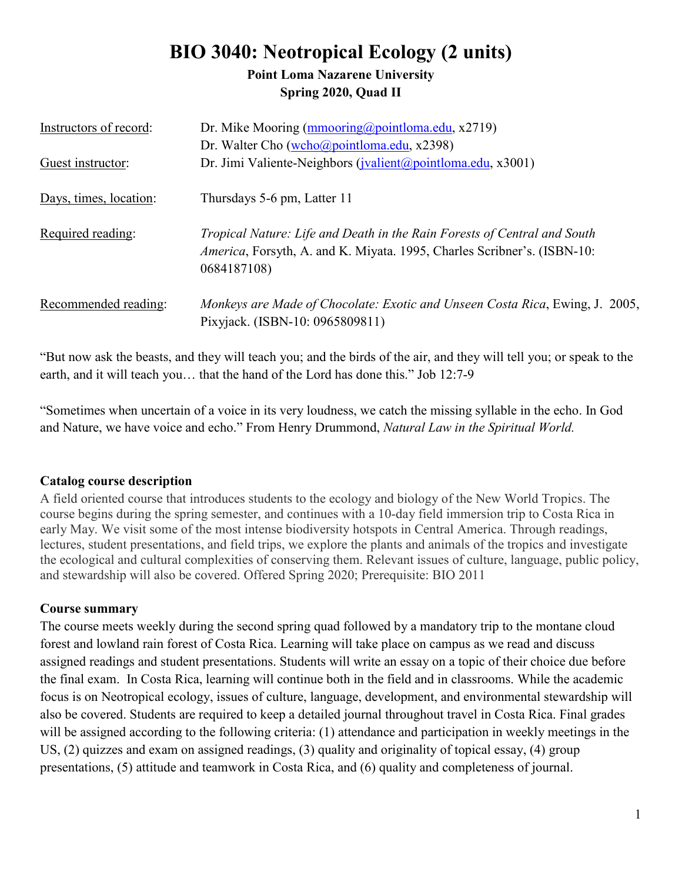# **BIO 3040: Neotropical Ecology (2 units)**

## **Point Loma Nazarene University Spring 2020, Quad II**

| Instructors of record: | Dr. Mike Mooring (mmooring@pointloma.edu, x2719)                                                                                                                           |
|------------------------|----------------------------------------------------------------------------------------------------------------------------------------------------------------------------|
|                        | Dr. Walter Cho (wcho@pointloma.edu, x2398)                                                                                                                                 |
| Guest instructor:      | Dr. Jimi Valiente-Neighbors (jvalient@pointloma.edu, x3001)                                                                                                                |
| Days, times, location: | Thursdays 5-6 pm, Latter 11                                                                                                                                                |
| Required reading:      | Tropical Nature: Life and Death in the Rain Forests of Central and South<br><i>America</i> , Forsyth, A. and K. Miyata. 1995, Charles Scribner's. (ISBN-10:<br>0684187108) |
| Recommended reading:   | Monkeys are Made of Chocolate: Exotic and Unseen Costa Rica, Ewing, J. 2005,<br>Pixyjack. (ISBN-10: 0965809811)                                                            |

"But now ask the beasts, and they will teach you; and the birds of the air, and they will tell you; or speak to the earth, and it will teach you… that the hand of the Lord has done this." Job 12:7-9

"Sometimes when uncertain of a voice in its very loudness, we catch the missing syllable in the echo. In God and Nature, we have voice and echo." From Henry Drummond, *Natural Law in the Spiritual World.*

#### **Catalog course description**

A field oriented course that introduces students to the ecology and biology of the New World Tropics. The course begins during the spring semester, and continues with a 10-day field immersion trip to Costa Rica in early May. We visit some of the most intense biodiversity hotspots in Central America. Through readings, lectures, student presentations, and field trips, we explore the plants and animals of the tropics and investigate the ecological and cultural complexities of conserving them. Relevant issues of culture, language, public policy, and stewardship will also be covered. Offered Spring 2020; Prerequisite: BIO 2011

## **Course summary**

The course meets weekly during the second spring quad followed by a mandatory trip to the montane cloud forest and lowland rain forest of Costa Rica. Learning will take place on campus as we read and discuss assigned readings and student presentations. Students will write an essay on a topic of their choice due before the final exam. In Costa Rica, learning will continue both in the field and in classrooms. While the academic focus is on Neotropical ecology, issues of culture, language, development, and environmental stewardship will also be covered. Students are required to keep a detailed journal throughout travel in Costa Rica. Final grades will be assigned according to the following criteria: (1) attendance and participation in weekly meetings in the US, (2) quizzes and exam on assigned readings, (3) quality and originality of topical essay, (4) group presentations, (5) attitude and teamwork in Costa Rica, and (6) quality and completeness of journal.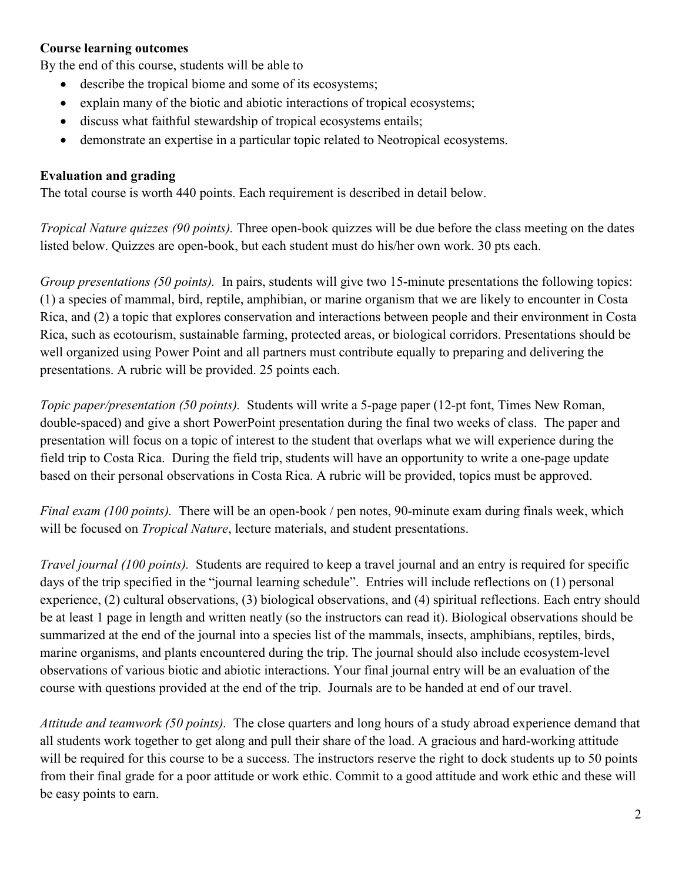### **Course learning outcomes**

By the end of this course, students will be able to

- describe the tropical biome and some of its ecosystems;
- explain many of the biotic and abiotic interactions of tropical ecosystems;
- discuss what faithful stewardship of tropical ecosystems entails;
- demonstrate an expertise in a particular topic related to Neotropical ecosystems.

#### **Evaluation and grading**

The total course is worth 440 points. Each requirement is described in detail below.

*Tropical Nature quizzes (90 points).* Three open-book quizzes will be due before the class meeting on the dates listed below. Quizzes are open-book, but each student must do his/her own work. 30 pts each.

*Group presentations (50 points).* In pairs, students will give two 15-minute presentations the following topics: (1) a species of mammal, bird, reptile, amphibian, or marine organism that we are likely to encounter in Costa Rica, and (2) a topic that explores conservation and interactions between people and their environment in Costa Rica, such as ecotourism, sustainable farming, protected areas, or biological corridors. Presentations should be well organized using Power Point and all partners must contribute equally to preparing and delivering the presentations. A rubric will be provided. 25 points each.

*Topic paper/presentation (50 points).* Students will write a 5-page paper (12-pt font, Times New Roman, double-spaced) and give a short PowerPoint presentation during the final two weeks of class. The paper and presentation will focus on a topic of interest to the student that overlaps what we will experience during the field trip to Costa Rica. During the field trip, students will have an opportunity to write a one-page update based on their personal observations in Costa Rica. A rubric will be provided, topics must be approved.

*Final exam (100 points).* There will be an open-book / pen notes, 90-minute exam during finals week, which will be focused on *Tropical Nature*, lecture materials, and student presentations.

*Travel journal (100 points).* Students are required to keep a travel journal and an entry is required for specific days of the trip specified in the "journal learning schedule". Entries will include reflections on (1) personal experience, (2) cultural observations, (3) biological observations, and (4) spiritual reflections. Each entry should be at least 1 page in length and written neatly (so the instructors can read it). Biological observations should be summarized at the end of the journal into a species list of the mammals, insects, amphibians, reptiles, birds, marine organisms, and plants encountered during the trip. The journal should also include ecosystem-level observations of various biotic and abiotic interactions. Your final journal entry will be an evaluation of the course with questions provided at the end of the trip. Journals are to be handed at end of our travel.

*Attitude and teamwork (50 points).* The close quarters and long hours of a study abroad experience demand that all students work together to get along and pull their share of the load. A gracious and hard-working attitude will be required for this course to be a success. The instructors reserve the right to dock students up to 50 points from their final grade for a poor attitude or work ethic. Commit to a good attitude and work ethic and these will be easy points to earn.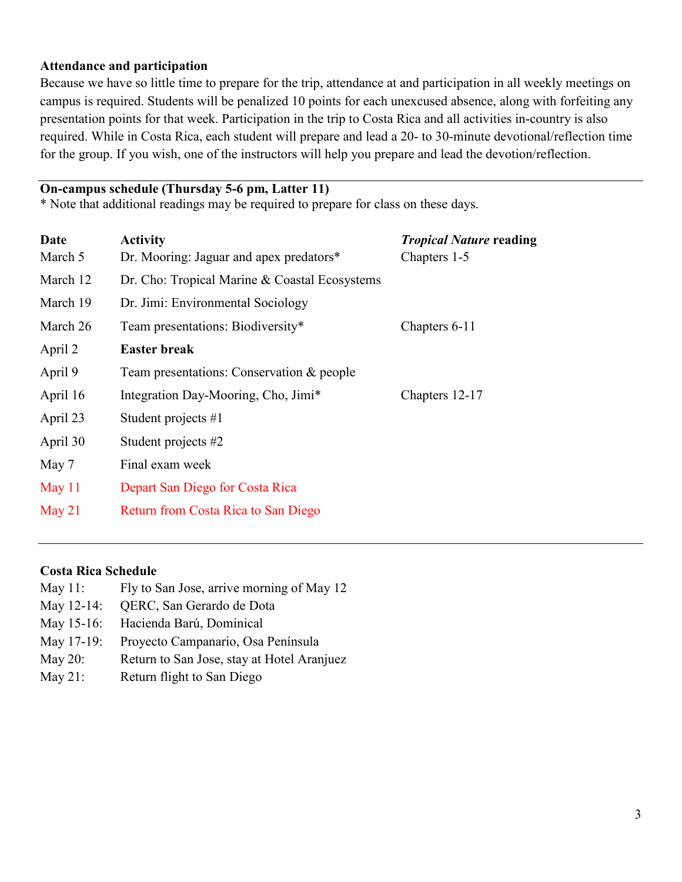#### **Attendance and participation**

Because we have so little time to prepare for the trip, attendance at and participation in all weekly meetings on campus is required. Students will be penalized 10 points for each unexcused absence, along with forfeiting any presentation points for that week. Participation in the trip to Costa Rica and all activities in-country is also required. While in Costa Rica, each student will prepare and lead a 20- to 30-minute devotional/reflection time for the group. If you wish, one of the instructors will help you prepare and lead the devotion/reflection.

## **On-campus schedule (Thursday 5-6 pm, Latter 11)**

\* Note that additional readings may be required to prepare for class on these days.

| Date     | <b>Activity</b>                               | <b>Tropical Nature reading</b> |
|----------|-----------------------------------------------|--------------------------------|
| March 5  | Dr. Mooring: Jaguar and apex predators*       | Chapters 1-5                   |
| March 12 | Dr. Cho: Tropical Marine & Coastal Ecosystems |                                |
| March 19 | Dr. Jimi: Environmental Sociology             |                                |
| March 26 | Team presentations: Biodiversity*             | Chapters 6-11                  |
| April 2  | <b>Easter break</b>                           |                                |
| April 9  | Team presentations: Conservation & people     |                                |
| April 16 | Integration Day-Mooring, Cho, Jimi*           | Chapters 12-17                 |
| April 23 | Student projects #1                           |                                |
| April 30 | Student projects #2                           |                                |
| May 7    | Final exam week                               |                                |
| May $11$ | Depart San Diego for Costa Rica               |                                |
| May $21$ | Return from Costa Rica to San Diego           |                                |
|          |                                               |                                |

#### **Costa Rica Schedule**

- May 11: Fly to San Jose, arrive morning of May 12
- May 12-14: QERC, San Gerardo de Dota
- May 15-16: Hacienda Barú, Dominical
- May 17-19: Proyecto Campanario, Osa Península
- May 20: Return to San Jose, stay at Hotel Aranjuez
- May 21: Return flight to San Diego